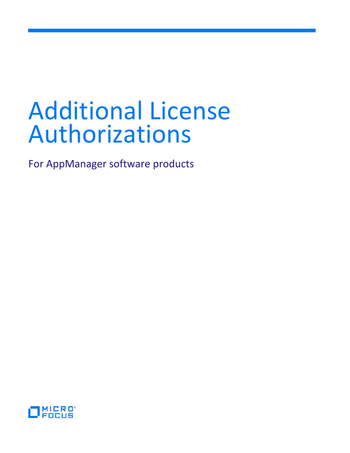# Additional License Authorizations

For AppManager software products

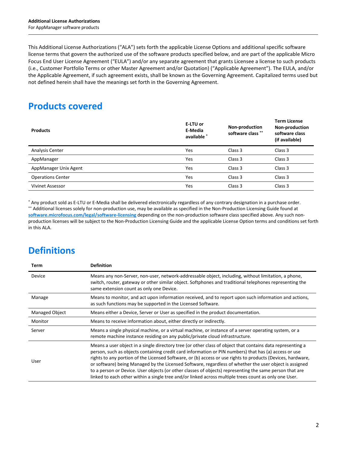This Additional License Authorizations ("ALA") sets forth the applicable License Options and additional specific software license terms that govern the authorized use of the software products specified below, and are part of the applicable Micro Focus End User License Agreement ("EULA") and/or any separate agreement that grants Licensee a license to such products (i.e., Customer Portfolio Terms or other Master Agreement and/or Quotation) ("Applicable Agreement"). The EULA, and/or the Applicable Agreement, if such agreement exists, shall be known as the Governing Agreement. Capitalized terms used but not defined herein shall have the meanings set forth in the Governing Agreement.

## **Products covered**

| <b>Products</b>          | E-LTU or<br>E-Media<br>available * | Non-production<br>software class ** | <b>Term License</b><br>Non-production<br>software class<br>(if available) |
|--------------------------|------------------------------------|-------------------------------------|---------------------------------------------------------------------------|
| <b>Analysis Center</b>   | Yes                                | Class 3                             | Class 3                                                                   |
| AppManager               | Yes                                | Class 3                             | Class 3                                                                   |
| AppManager Unix Agent    | Yes                                | Class 3                             | Class 3                                                                   |
| <b>Operations Center</b> | Yes                                | Class 3                             | Class 3                                                                   |
| Vivinet Assessor         | Yes                                | Class 3                             | Class 3                                                                   |

\* Any product sold as E-LTU or E-Media shall be delivered electronically regardless of any contrary designation in a purchase order. \*\* Additional licenses solely for non-production use, may be available as specified in the Non-Production Licensing Guide found at **[software.microfocus.com/legal/software-licensing](http://software.microfocus.com/legal/software-licensing)** depending on the non-production software class specified above. Any such nonproduction licenses will be subject to the Non-Production Licensing Guide and the applicable License Option terms and conditions set forth in this ALA.

## **Definitions**

| Term                  | <b>Definition</b>                                                                                                                                                                                                                                                                                                                                                                                                                                                                                                                                                                                                                                                |
|-----------------------|------------------------------------------------------------------------------------------------------------------------------------------------------------------------------------------------------------------------------------------------------------------------------------------------------------------------------------------------------------------------------------------------------------------------------------------------------------------------------------------------------------------------------------------------------------------------------------------------------------------------------------------------------------------|
| Device                | Means any non-Server, non-user, network-addressable object, including, without limitation, a phone,<br>switch, router, gateway or other similar object. Softphones and traditional telephones representing the<br>same extension count as only one Device.                                                                                                                                                                                                                                                                                                                                                                                                       |
| Manage                | Means to monitor, and act upon information received, and to report upon such information and actions,<br>as such functions may be supported in the Licensed Software.                                                                                                                                                                                                                                                                                                                                                                                                                                                                                            |
| <b>Managed Object</b> | Means either a Device, Server or User as specified in the product documentation.                                                                                                                                                                                                                                                                                                                                                                                                                                                                                                                                                                                 |
| Monitor               | Means to receive information about, either directly or indirectly.                                                                                                                                                                                                                                                                                                                                                                                                                                                                                                                                                                                               |
| Server                | Means a single physical machine, or a virtual machine, or instance of a server operating system, or a<br>remote machine instance residing on any public/private cloud infrastructure.                                                                                                                                                                                                                                                                                                                                                                                                                                                                            |
| User                  | Means a user object in a single directory tree (or other class of object that contains data representing a<br>person, such as objects containing credit card information or PIN numbers) that has (a) access or use<br>rights to any portion of the Licensed Software, or (b) access or use rights to products (Devices, hardware,<br>or software) being Managed by the Licensed Software, regardless of whether the user object is assigned<br>to a person or Device. User objects (or other classes of objects) representing the same person that are<br>linked to each other within a single tree and/or linked across multiple trees count as only one User. |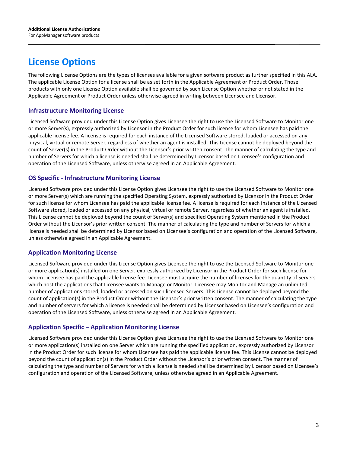## **License Options**

The following License Options are the types of licenses available for a given software product as further specified in this ALA. The applicable License Option for a license shall be as set forth in the Applicable Agreement or Product Order. Those products with only one License Option available shall be governed by such License Option whether or not stated in the Applicable Agreement or Product Order unless otherwise agreed in writing between Licensee and Licensor.

#### **Infrastructure Monitoring License**

Licensed Software provided under this License Option gives Licensee the right to use the Licensed Software to Monitor one or more Server(s), expressly authorized by Licensor in the Product Order for such license for whom Licensee has paid the applicable license fee. A license is required for each instance of the Licensed Software stored, loaded or accessed on any physical, virtual or remote Server, regardless of whether an agent is installed. This License cannot be deployed beyond the count of Server(s) in the Product Order without the Licensor's prior written consent. The manner of calculating the type and number of Servers for which a license is needed shall be determined by Licensor based on Licensee's configuration and operation of the Licensed Software, unless otherwise agreed in an Applicable Agreement.

#### **OS Specific - Infrastructure Monitoring License**

Licensed Software provided under this License Option gives Licensee the right to use the Licensed Software to Monitor one or more Server(s) which are running the specified Operating System, expressly authorized by Licensor in the Product Order for such license for whom Licensee has paid the applicable license fee. A license is required for each instance of the Licensed Software stored, loaded or accessed on any physical, virtual or remote Server, regardless of whether an agent is installed. This License cannot be deployed beyond the count of Server(s) and specified Operating System mentioned in the Product Order without the Licensor's prior written consent. The manner of calculating the type and number of Servers for which a license is needed shall be determined by Licensor based on Licensee's configuration and operation of the Licensed Software, unless otherwise agreed in an Applicable Agreement.

#### **Application Monitoring License**

Licensed Software provided under this License Option gives Licensee the right to use the Licensed Software to Monitor one or more application(s) installed on one Server, expressly authorized by Licensor in the Product Order for such license for whom Licensee has paid the applicable license fee. Licensee must acquire the number of licenses for the quantity of Servers which host the applications that Licensee wants to Manage or Monitor. Licensee may Monitor and Manage an unlimited number of applications stored, loaded or accessed on such licensed Servers. This License cannot be deployed beyond the count of application(s) in the Product Order without the Licensor's prior written consent. The manner of calculating the type and number of servers for which a license is needed shall be determined by Licensor based on Licensee's configuration and operation of the Licensed Software, unless otherwise agreed in an Applicable Agreement.

### **Application Specific – Application Monitoring License**

Licensed Software provided under this License Option gives Licensee the right to use the Licensed Software to Monitor one or more application(s) installed on one Server which are running the specified application, expressly authorized by Licensor in the Product Order for such license for whom Licensee has paid the applicable license fee. This License cannot be deployed beyond the count of application(s) in the Product Order without the Licensor's prior written consent. The manner of calculating the type and number of Servers for which a license is needed shall be determined by Licensor based on Licensee's configuration and operation of the Licensed Software, unless otherwise agreed in an Applicable Agreement.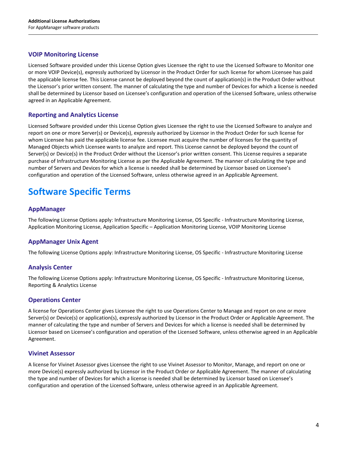#### **VOIP Monitoring License**

Licensed Software provided under this License Option gives Licensee the right to use the Licensed Software to Monitor one or more VOIP Device(s), expressly authorized by Licensor in the Product Order for such license for whom Licensee has paid the applicable license fee. This License cannot be deployed beyond the count of application(s) in the Product Order without the Licensor's prior written consent. The manner of calculating the type and number of Devices for which a license is needed shall be determined by Licensor based on Licensee's configuration and operation of the Licensed Software, unless otherwise agreed in an Applicable Agreement.

#### **Reporting and Analytics License**

Licensed Software provided under this License Option gives Licensee the right to use the Licensed Software to analyze and report on one or more Server(s) or Device(s), expressly authorized by Licensor in the Product Order for such license for whom Licensee has paid the applicable license fee. Licensee must acquire the number of licenses for the quantity of Managed Objects which Licensee wants to analyze and report. This License cannot be deployed beyond the count of Server(s) or Device(s) in the Product Order without the Licensor's prior written consent. This License requires a separate purchase of Infrastructure Monitoring License as per the Applicable Agreement. The manner of calculating the type and number of Servers and Devices for which a license is needed shall be determined by Licensor based on Licensee's configuration and operation of the Licensed Software, unless otherwise agreed in an Applicable Agreement.

## **Software Specific Terms**

#### **AppManager**

The following License Options apply: Infrastructure Monitoring License, OS Specific - Infrastructure Monitoring License, Application Monitoring License, Application Specific – Application Monitoring License, VOIP Monitoring License

#### **AppManager Unix Agent**

The following License Options apply: Infrastructure Monitoring License, OS Specific - Infrastructure Monitoring License

#### **Analysis Center**

The following License Options apply: Infrastructure Monitoring License, OS Specific - Infrastructure Monitoring License, Reporting & Analytics License

#### **Operations Center**

A license for Operations Center gives Licensee the right to use Operations Center to Manage and report on one or more Server(s) or Device(s) or application(s), expressly authorized by Licensor in the Product Order or Applicable Agreement. The manner of calculating the type and number of Servers and Devices for which a license is needed shall be determined by Licensor based on Licensee's configuration and operation of the Licensed Software, unless otherwise agreed in an Applicable Agreement.

#### **Vivinet Assessor**

A license for Vivinet Assessor gives Licensee the right to use Vivinet Assessor to Monitor, Manage, and report on one or more Device(s) expressly authorized by Licensor in the Product Order or Applicable Agreement. The manner of calculating the type and number of Devices for which a license is needed shall be determined by Licensor based on Licensee's configuration and operation of the Licensed Software, unless otherwise agreed in an Applicable Agreement.